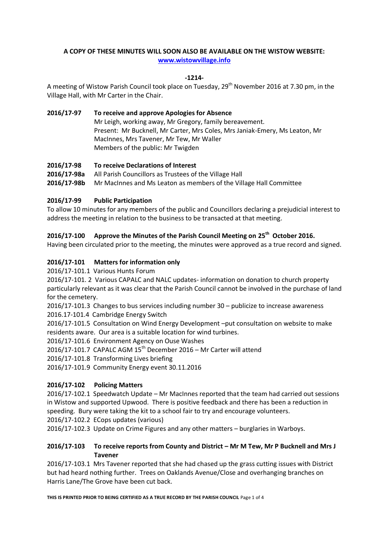# **A COPY OF THESE MINUTES WILL SOON ALSO BE AVAILABLE ON THE WISTOW WEBSITE: [www.wistowvillage.info](http://www.wistowvillage.info/)**

### **-1214-**

A meeting of Wistow Parish Council took place on Tuesday, 29<sup>th</sup> November 2016 at 7.30 pm, in the Village Hall, with Mr Carter in the Chair.

# **2016/17-97 To receive and approve Apologies for Absence** Mr Leigh, working away, Mr Gregory, family bereavement. Present: Mr Bucknell, Mr Carter, Mrs Coles, Mrs Janiak-Emery, Ms Leaton, Mr MacInnes, Mrs Tavener, Mr Tew, Mr Waller Members of the public: Mr Twigden

## **2016/17-98 To receive Declarations of Interest**

**2016/17-98a** All Parish Councillors as Trustees of the Village Hall **2016/17-98b** Mr MacInnes and Ms Leaton as members of the Village Hall Committee

## **2016/17-99 Public Participation**

To allow 10 minutes for any members of the public and Councillors declaring a prejudicial interest to address the meeting in relation to the business to be transacted at that meeting.

# **2016/17-100 Approve the Minutes of the Parish Council Meeting on 25th October 2016.**

Having been circulated prior to the meeting, the minutes were approved as a true record and signed.

## **2016/17-101 Matters for information only**

2016/17-101.1 Various Hunts Forum

2016/17-101. 2 Various CAPALC and NALC updates- information on donation to church property particularly relevant as it was clear that the Parish Council cannot be involved in the purchase of land for the cemetery.

2016/17-101.3 Changes to bus services including number 30 – publicize to increase awareness 2016.17-101.4 Cambridge Energy Switch

2016/17-101.5 Consultation on Wind Energy Development –put consultation on website to make residents aware. Our area is a suitable location for wind turbines.

2016/17-101.6 Environment Agency on Ouse Washes

2016/17-101.7 CAPALC AGM  $15<sup>th</sup>$  December 2016 – Mr Carter will attend

2016/17-101.8 Transforming Lives briefing

2016/17-101.9 Community Energy event 30.11.2016

#### **2016/17-102 Policing Matters**

2016/17-102.1 Speedwatch Update – Mr MacInnes reported that the team had carried out sessions in Wistow and supported Upwood. There is positive feedback and there has been a reduction in speeding. Bury were taking the kit to a school fair to try and encourage volunteers.

2016/17-102.2 ECops updates (various)

2016/17-102.3 Update on Crime Figures and any other matters – burglaries in Warboys.

## **2016/17-103 To receive reports from County and District – Mr M Tew, Mr P Bucknell and Mrs J Tavener**

2016/17-103.1Mrs Tavener reported that she had chased up the grass cutting issues with District but had heard nothing further. Trees on Oaklands Avenue/Close and overhanging branches on Harris Lane/The Grove have been cut back.

**THIS IS PRINTED PRIOR TO BEING CERTIFIED AS A TRUE RECORD BY THE PARISH COUNCIL** Page 1 of 4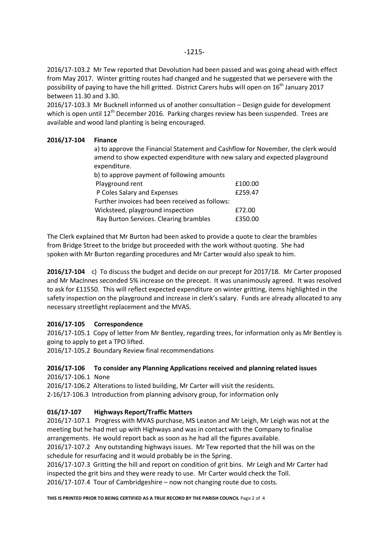2016/17-103.2 Mr Tew reported that Devolution had been passed and was going ahead with effect from May 2017. Winter gritting routes had changed and he suggested that we persevere with the possibility of paying to have the hill gritted. District Carers hubs will open on 16<sup>th</sup> January 2017 between 11.30 and 3.30.

2016/17-103.3 Mr Bucknell informed us of another consultation – Design guide for development which is open until 12<sup>th</sup> December 2016. Parking charges review has been suspended. Trees are available and wood land planting is being encouraged.

### **2016/17-104 Finance**

a) to approve the Financial Statement and Cashflow for November, the clerk would amend to show expected expenditure with new salary and expected playground expenditure.

| b) to approve payment of following amounts     |         |
|------------------------------------------------|---------|
| Playground rent                                | £100.00 |
| P Coles Salary and Expenses                    | £259.47 |
| Further invoices had been received as follows: |         |
| Wicksteed, playground inspection               | £72.00  |
| Ray Burton Services. Clearing brambles         | £350.00 |

The Clerk explained that Mr Burton had been asked to provide a quote to clear the brambles from Bridge Street to the bridge but proceeded with the work without quoting. She had spoken with Mr Burton regarding procedures and Mr Carter would also speak to him.

**2016/17-104** c) To discuss the budget and decide on our precept for 2017/18. Mr Carter proposed and Mr MacInnes seconded 5% increase on the precept. It was unanimously agreed. It was resolved to ask for £11550. This will reflect expected expenditure on winter gritting, items highlighted in the safety inspection on the playground and increase in clerk's salary. Funds are already allocated to any necessary streetlight replacement and the MVAS.

#### **2016/17-105 Correspondence**

2016/17-105.1 Copy of letter from Mr Bentley, regarding trees, for information only as Mr Bentley is going to apply to get a TPO lifted.

2016/17-105.2 Boundary Review final recommendations

#### **2016/17-106 To consider any Planning Applications received and planning related issues** 2016/17-106.1 None

2016/17-106.2 Alterations to listed building, Mr Carter will visit the residents.

2-16/17-106.3 Introduction from planning advisory group, for information only

#### **016/17-107 Highways Report/Traffic Matters**

2016/17-107.1 Progress with MVAS purchase, MS Leaton and Mr Leigh, Mr Leigh was not at the meeting but he had met up with Highways and was in contact with the Company to finalise arrangements. He would report back as soon as he had all the figures available.

2016/17-107.2 Any outstanding highways issues. Mr Tew reported that the hill was on the schedule for resurfacing and it would probably be in the Spring.

2016/17-107.3 Gritting the hill and report on condition of grit bins. Mr Leigh and Mr Carter had inspected the grit bins and they were ready to use. Mr Carter would check the Toll. 2016/17-107.4 Tour of Cambridgeshire – now not changing route due to costs.

**THIS IS PRINTED PRIOR TO BEING CERTIFIED AS A TRUE RECORD BY THE PARISH COUNCIL** Page 2 of 4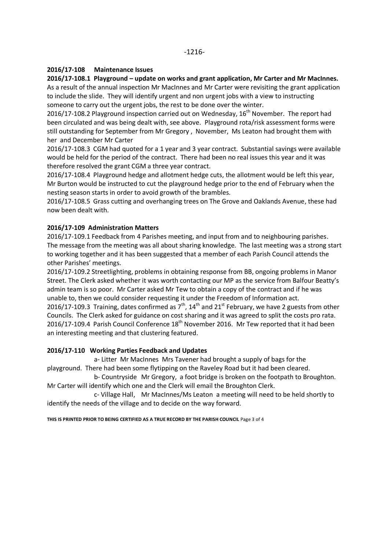### **2016/17-108 Maintenance Issues**

## **2016/17-108.1 Playground – update on works and grant application, Mr Carter and Mr MacInnes.**

As a result of the annual inspection Mr MacInnes and Mr Carter were revisiting the grant application to include the slide. They will identify urgent and non urgent jobs with a view to instructing someone to carry out the urgent jobs, the rest to be done over the winter.

2016/17-108.2 Playground inspection carried out on Wednesday,  $16<sup>th</sup>$  November. The report had been circulated and was being dealt with, see above. Playground rota/risk assessment forms were still outstanding for September from Mr Gregory , November, Ms Leaton had brought them with her and December Mr Carter

2016/17-108.3 CGM had quoted for a 1 year and 3 year contract. Substantial savings were available would be held for the period of the contract. There had been no real issues this year and it was therefore resolved the grant CGM a three year contract.

2016/17-108.4 Playground hedge and allotment hedge cuts, the allotment would be left this year, Mr Burton would be instructed to cut the playground hedge prior to the end of February when the nesting season starts in order to avoid growth of the brambles.

2016/17-108.5 Grass cutting and overhanging trees on The Grove and Oaklands Avenue, these had now been dealt with.

## **2016/17-109 Administration Matters**

2016/17-109.1 Feedback from 4 Parishes meeting, and input from and to neighbouring parishes. The message from the meeting was all about sharing knowledge. The last meeting was a strong start to working together and it has been suggested that a member of each Parish Council attends the other Parishes' meetings.

2016/17-109.2 Streetlighting, problems in obtaining response from BB, ongoing problems in Manor Street. The Clerk asked whether it was worth contacting our MP as the service from Balfour Beatty's admin team is so poor. Mr Carter asked Mr Tew to obtain a copy of the contract and if he was unable to, then we could consider requesting it under the Freedom of Information act. 2016/17-109.3 Training, dates confirmed as  $7<sup>th</sup>$ , 14<sup>th</sup> and 21<sup>st</sup> February, we have 2 guests from other Councils. The Clerk asked for guidance on cost sharing and it was agreed to split the costs pro rata. 2016/17-109.4 Parish Council Conference  $18<sup>th</sup>$  November 2016. Mr Tew reported that it had been an interesting meeting and that clustering featured.

#### **2016/17-110 Working Parties Feedback and Updates**

 a- Litter Mr MacInnes Mrs Tavener had brought a supply of bags for the playground. There had been some flytipping on the Raveley Road but it had been cleared.

b- Countryside Mr Gregory, a foot bridge is broken on the footpath to Broughton. Mr Carter will identify which one and the Clerk will email the Broughton Clerk.

c- Village Hall, Mr MacInnes/Ms Leaton a meeting will need to be held shortly to identify the needs of the village and to decide on the way forward.

**THIS IS PRINTED PRIOR TO BEING CERTIFIED AS A TRUE RECORD BY THE PARISH COUNCIL** Page 3 of 4